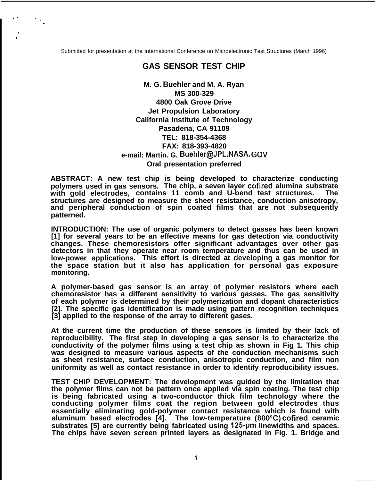Submitted for presentation at the International Conference on Microelectronic Test Structures (March 1996)

,, '.

\ ,

.

## **GAS SENSOR TEST CHIP**

**M. G. Buehler and M. A. Ryan MS 300-329 4800 Oak Grove Drive Jet Propulsion Laboratory California Institute of Technology Pasadena, CA 91109 TEL: 818-354-4368 FAX: 818-393-4820 e-mail: Martin. G. Buehler@JPL.NASA. GOV Oral presentation preferred**

**ABSTRACT: A new test chip is being developed to characterize conducting polymers used in gas sensors. The chip, a seven layer cc)fired alumina substrate with gold electrodes, contains 11 comb and U-bend test structures. The structures are designed to measure the sheet resistance, conduction anisotropy, and peripheral conduction of spin coated films that are not subsequently patterned.**

**INTRODUCTION: The use of organic polymers to detect gasses has been known [1] for several years to be an effective means for gas detection via conductivity changes. These chemoresistors offer significant advantages over other gas detectors in that they operate near room temperature and thus can be used in low-power applications. This effort is directed at develc)ping a gas monitor for the space station but it also has application for personal gas exposure monitoring.**

**A polymer-based gas sensor is an array of polymer resistors where each chemoresistor has a different sensitivity to various gasses. The gas sensitivity of each polymer is determined by their polymerization and dopant characteristics [2]. The specific gas identification is made using pattern recognition techniques [3] applied to the response of the array to different gases.**

**At the current time the production of these sensors is limited by their lack of reproducibility. The first step in developing a gas sensor is to characterize the conductivity of the polymer films using a test chip as shown in Fig 1. This chip was designed to measure various aspects of the conduction mechanisms such as sheet resistance, surface conduction, anisotropic conduction, and film non uniformity as well as contact resistance in order to identify reproducibility issues.**

**TEST CHIP DEVELOPMENT: The development was guided by the limitation that the polymer films can not be pattern once applied via spin coating. The test chip is being fabricated using a two-conductor thick film technology where the conducting polymer films coat the region between gold electrodes thus essentially eliminating gold-polymer contact resistance which is found with aluminum based electrodes [4]. The low-temperature (800°C) cofired ceramic substrates [5] are currently being fabricated using 125-pm linewidths and spaces. The chips have seven screen printed layers as designated in Fig. 1. Bridge and**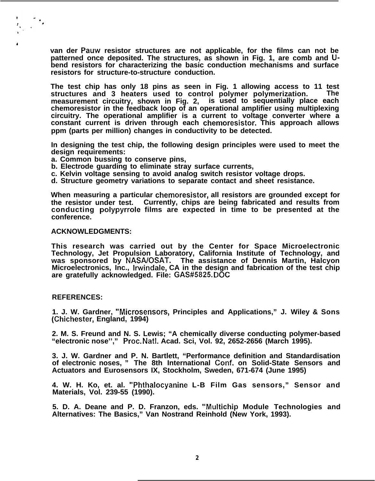**van der Pauw resistor structures are not applicable, for the films can not be patterned once deposited. The structures, as shown in Fig. 1, are comb and Ubend resistors for characterizing the basic conduction mechanisms and surface resistors for structure-to-structure conduction.**

**The test chip has only 18 pins as seen in Fig. 1 allowing access to 11 test structures and 3 heaters used to control polymer polymerization. The measurement circuitry, shown in Fig. 2, is used to sequentially place each chemoresistor in the feedback loop of an operational amplifier using multiplexing circuitry. The operational amplifier is a current to voltage converter where a constant current is driven through each chemoresistor. This approach allows ppm (parts per million) changes in conductivity to be detected.**

**In designing the test chip, the following design principles were used to meet the design requirements:**

- **a. Common bussing to conserve pins,**
- **b. Electrode guarding to eliminate stray surface currents,**
- **c. Kelvin voltage sensing to avoid analog switch resistor voltage drops.**
- **d. Structure geometry variations to separate contact and sheet resistance.**

**When measuring a particular chemoresistor, all resistors are grounded except for the resistor under test. Currently, chips are being fabricated and results from conducting polypyrrole films are expected in time to be presented at the conference.**

## **ACKNOWLEDGMENTS:**

**This research was carried out by the Center for Space Microelectronic Technology, Jet Propulsion Laboratory, California Institute of Technology, and was sponsored by NASA/OSAT. The assistance of Dennis Martin, Halcyon Microelectronics, Inc., Irwindale, CA in the design and fabrication of the test chip are gratefully acknowledged. File: GAS#5825. DOC**

## **REFERENCES:**

e.

**1. J. W. Gardner, "Microsensors, Principles and Applications," J. Wiley & Sons (Chichester, England, 1994)**

**2. M. S. Freund and N. S. Lewis; "A chemically diverse conducting polymer-based "electronic nose''," Proc. Natl. Acad. Sci, Vol. 92, 2652-2656 (March 1995).**

**3. J. W. Gardner and P. N. Bartlett, "Performance definition and Standardisation of electronic noses, " The 8th International Conf. on Solid-State Sensors and Actuators and Eurosensors IX, Stockholm, Sweden, 671-674 (June 1995)**

**4. W. H. Ko, et. al. "Phthalocyanine L-B Film Gas sensors," Sensor and Materials, Vol. 239-55 (1990).**

**5. D. A. Deane and P. D. Franzon, eds. "Multichip Module Technologies and Alternatives: The Basics," Van Nostrand Reinhold (New York, 1993).**